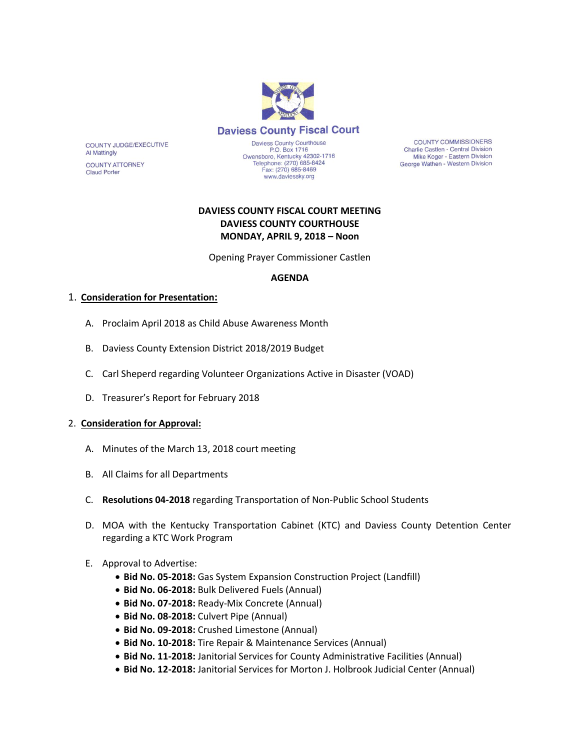

COUNTY JUDGE/EXECUTIVE Al Mattingly

**COUNTY ATTORNEY Claud Porter** 

Daviess County Courthouse P.O. Box 1716 P.O. Box 1716<br>Owensboro, Kentucky 42302-1716<br>Telephone: (270) 685-8424 Fax: (270) 685-8469 www.daviessky.org

**COUNTY COMMISSIONERS** Charlie Castlen - Central Division Mike Koger - Eastern Division George Wathen - Western Division

# **DAVIESS COUNTY FISCAL COURT MEETING DAVIESS COUNTY COURTHOUSE MONDAY, APRIL 9, 2018 – Noon**

Opening Prayer Commissioner Castlen

# **AGENDA**

# 1. **Consideration for Presentation:**

- A. Proclaim April 2018 as Child Abuse Awareness Month
- B. Daviess County Extension District 2018/2019 Budget
- C. Carl Sheperd regarding Volunteer Organizations Active in Disaster (VOAD)
- D. Treasurer's Report for February 2018

#### 2. **Consideration for Approval:**

- A. Minutes of the March 13, 2018 court meeting
- B. All Claims for all Departments
- C. **Resolutions 04-2018** regarding Transportation of Non-Public School Students
- D. MOA with the Kentucky Transportation Cabinet (KTC) and Daviess County Detention Center regarding a KTC Work Program
- E. Approval to Advertise:
	- **Bid No. 05-2018:** Gas System Expansion Construction Project (Landfill)
	- **Bid No. 06-2018:** Bulk Delivered Fuels (Annual)
	- **Bid No. 07-2018:** Ready-Mix Concrete (Annual)
	- **Bid No. 08-2018:** Culvert Pipe (Annual)
	- **Bid No. 09-2018:** Crushed Limestone (Annual)
	- **Bid No. 10-2018:** Tire Repair & Maintenance Services (Annual)
	- **Bid No. 11-2018:** Janitorial Services for County Administrative Facilities (Annual)
	- **Bid No. 12-2018:** Janitorial Services for Morton J. Holbrook Judicial Center (Annual)